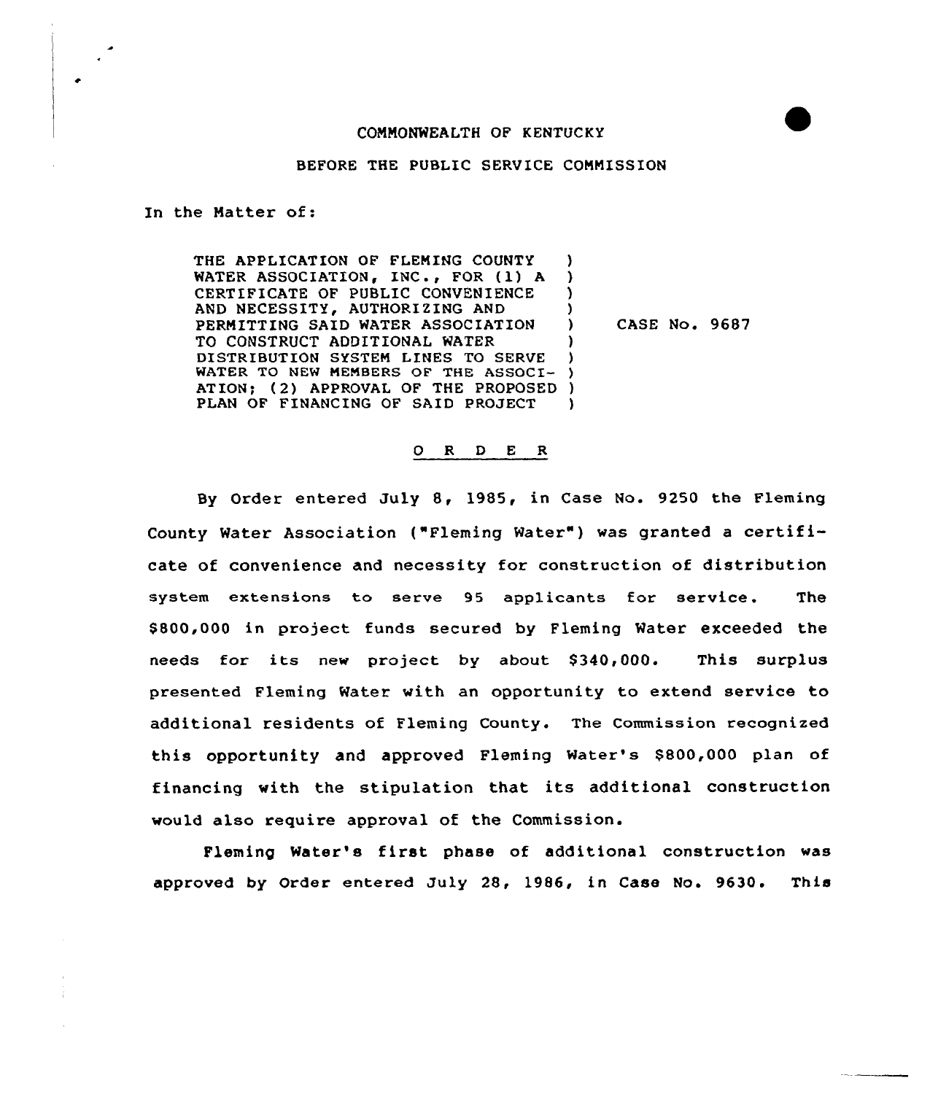## COMMONWEALTH OF KENTUCKY

## BEFORE THE PUBLIC SERVICE COMMISSION

In the Matter of:

THE APPLICATION OF FLEMING COUNTY WATER ASSOCIATION, INC., FOR (1) A CERTIFICATE QF PUBLIC CONVENIENCE AND NECESSITY, AUTHORIZING AND PERMITTING SAID WATER ASSOCIATION TO CONSTRUCT ADDITIONAL MATER DISTRIBUTION SYSTEM LINES TO SERVE WATER TO NEW MEMBERS OF THE ASSOCI-ATION; (2) APPROVAL OF THE PROPOSED ) PLAN OF FINANCING OF SAID PROJECT ) ) ) ) CASE No. 9687 ) ) )  $\lambda$ 

## 0 R <sup>D</sup> E R

By Order entered Duly &, 1985, in Case No. 9250 the Fleming County Water Association ("Fleming Water") was granted a certificate of convenience and necessity for construction of distribution system extensions to serve 95 applicants for service. The \$ 800,000 in project funds secured by Fleming Mater exceeded the needs for its new project by about \$340,000. This surplus presented Fleming Mater with an opportunity to extend service to additional residents of Fleming County. The Commission recognized this opportunity and approved Fleming Mater's \$800,000 plan of financing with the stipulation that its additional construction would also require approval of the Commission.

Fleming Water's first phase of additional construction was approved by Order entered Duly 28, 1986, in Case No. 9630. This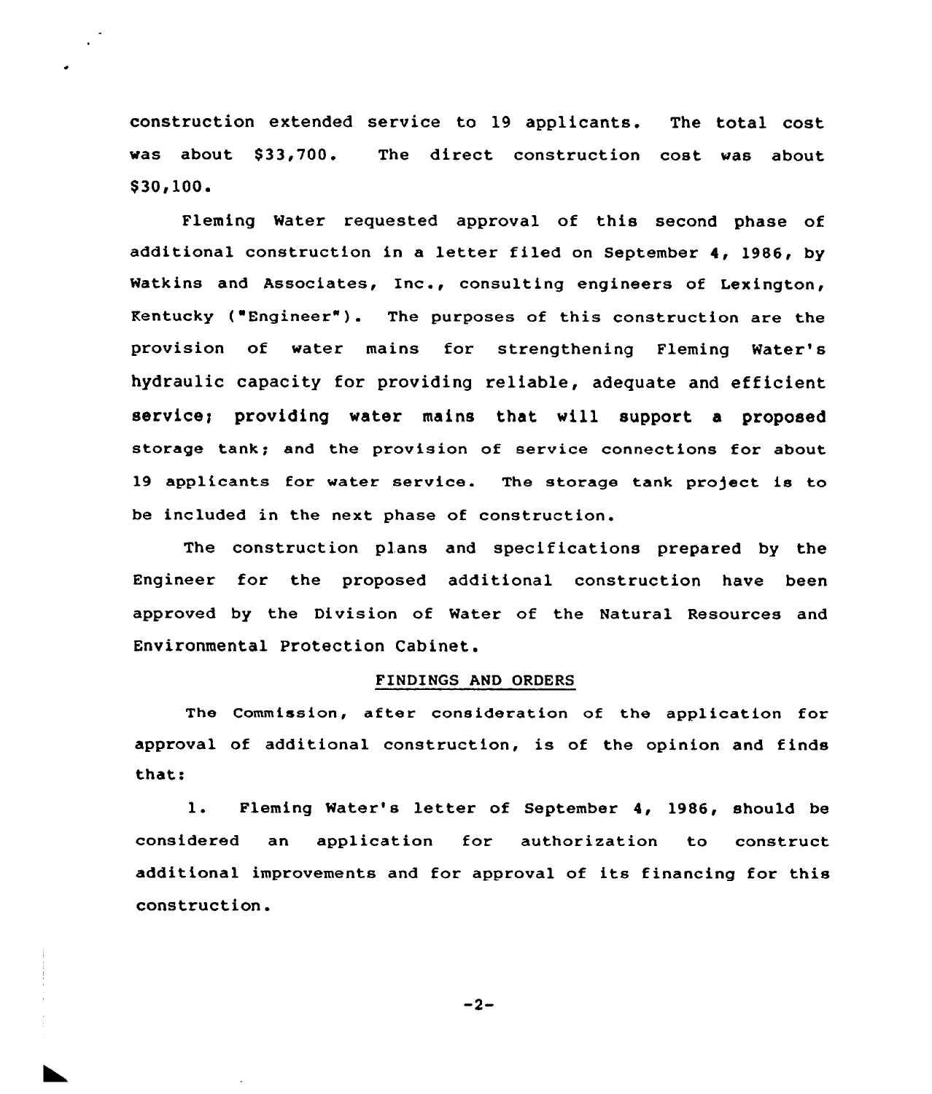construction extended service to 19 applicants. The total cost was about \$33,700. The direct construction cost was about  $$30.100.$ 

Fleming Mater requested approval of this second phase of additional construction in <sup>a</sup> letter filed on September 4, 1986, by Matkins and Associates, Inc., consulting engineers of Lexington, Kentucky ( Engineer" ). The purposes of this construction are the provision of water mains for strengthening Fleming Water' hydraulic capacity for providing reliable, adequate and efficient service; providing water mains that will support a proposed storage tank; and the provision of service connections for about 19 applicants for water service. The storage tank pro)ect is to be included in the next phase of construction.

The construction plans and specifications prepared by the Engineer for the proposed additional construction have been approved by the Division of Water of the Natural Resources and Environmental Protection Cabinet.

## FINDINGS AND ORDERS

The Commission, after consideration of the application for approval of additional construction, is of the opinion and finds that:

1. Fleming Water's letter of September 4, 1986, should be considered an application for authorization to construct additional improvements and for approval of its financing for this construction.

 $-2-$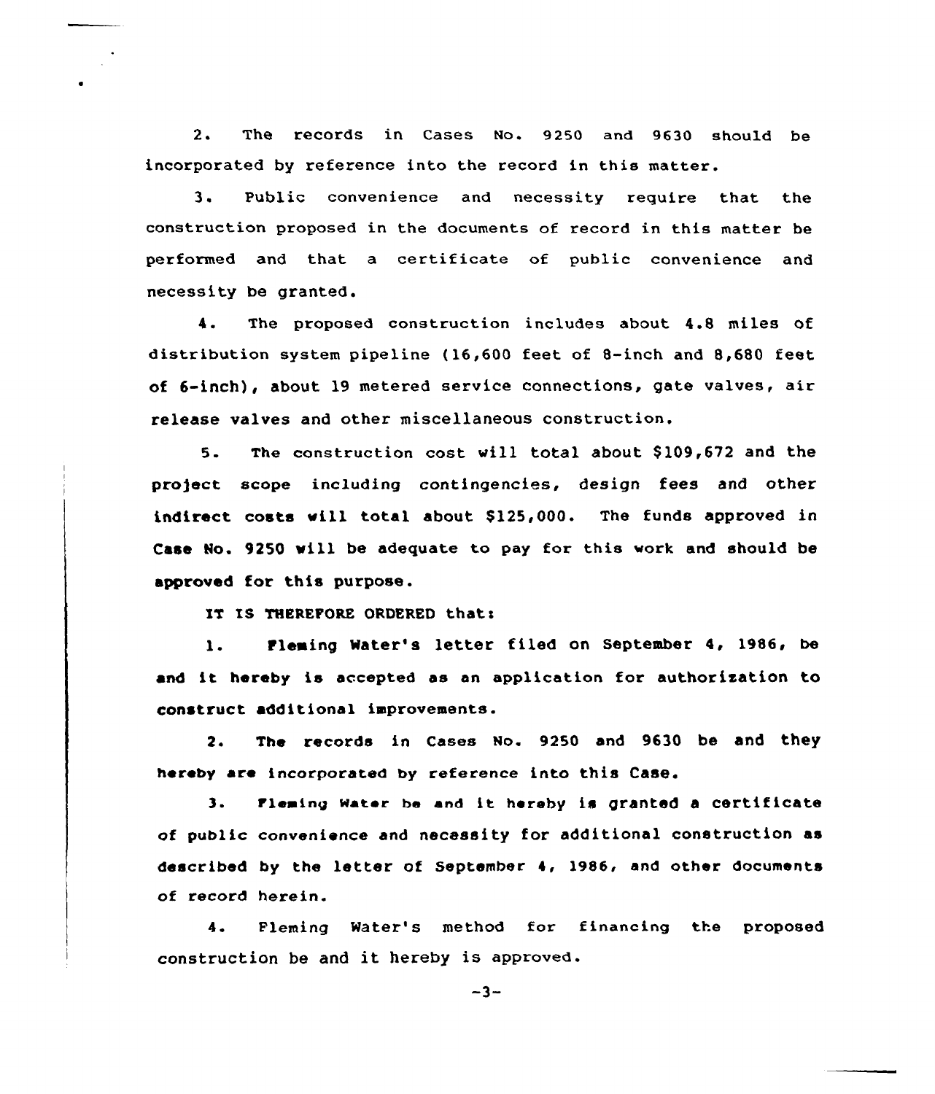2. The records in Cases No. 9250 and 9630 should be incorporated by reference into the record in this matter.

3. Public convenience and necessity require that the construction proposed in the documents of record in this matter be performed and that a certificate of public convenience and necessity be granted.

4. The proposed construction includes about 4.8 miles of distribution system pipeline {16,600 feet of 8-inch and 8,680 feet of 6-inch), about 19 metered service connections, gate valves, air release valves and other miscellaneous construction.

5. The construction cost vill total about \$ 109,672 and the project scope including contingencies, design fees and other indirect costs will total about \$125,000. The funds approved in Case Ho. 9250 vill be adequate to pay for this work and should be approved for this purpose.

IT IS THEREFORE ORDERED that:

1. Fleming Water's letter filed on September 4, 1986, be and it hereby is accepted as an application for authorization to construct additional improvements.

2. The records in Cases No. 9250 and 9630 be and they hereby are incorporated by reference into this Case.

3. Fleming Water be and it hereby is granted a certificate of public convenience and necessity for additional construction as described by the letter of September 4, 1986, and athex documents of record herein.

4 Fleming Water's method for financing the proposed construction be and it hereby is approved.

 $-3-$